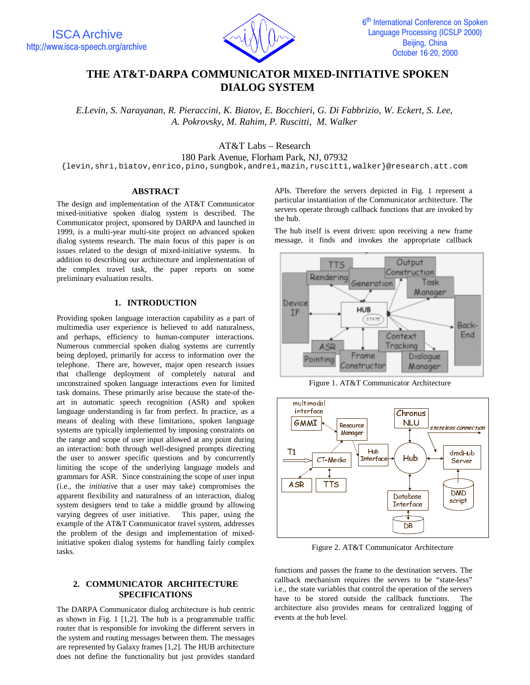

# **THE AT&T-DARPA COMMUNICATOR MIXED-INITIATIVE SPOKEN DIALOG SYSTEM**

*E.Levin, S. Narayanan, R. Pieraccini, K. Biatov, E. Bocchieri, G. Di Fabbrizio, W. Eckert, S. Lee, A. Pokrovsky, M. Rahim, P. Ruscitti, M. Walker*

AT&T Labs – Research

180 Park Avenue, Florham Park, NJ, 07932

{levin,shri,biatov,enrico,pino,sungbok,andrei,mazin,ruscitti,walker}@research.att.com

# **ABSTRACT**

The design and implementation of the AT&T Communicator mixed-initiative spoken dialog system is described. The Communicator project, sponsored by DARPA and launched in 1999, is a multi-year multi-site project on advanced spoken dialog systems research. The main focus of this paper is on issues related to the design of mixed-initiative systems. In addition to describing our architecture and implementation of the complex travel task, the paper reports on some preliminary evaluation results.

# **1. INTRODUCTION**

Providing spoken language interaction capability as a part of multimedia user experience is believed to add naturalness, and perhaps, efficiency to human-computer interactions. Numerous commercial spoken dialog systems are currently being deployed, primarily for access to information over the telephone. There are, however, major open research issues that challenge deployment of completely natural and unconstrained spoken language interactions even for limited task domains. These primarily arise because the state-of theart in automatic speech recognition (ASR) and spoken language understanding is far from perfect. In practice, as a means of dealing with these limitations, spoken language systems are typically implemented by imposing constraints on the range and scope of user input allowed at any point during an interaction: both through well-designed prompts directing the user to answer specific questions and by concurrently limiting the scope of the underlying language models and grammars for ASR. Since constraining the scope of user input (i.e., the *initiative* that a user may take) compromises the apparent flexibility and naturalness of an interaction, dialog system designers tend to take a middle ground by allowing varying degrees of user initiative. This paper, using the example of the AT&T Communicator travel system, addresses the problem of the design and implementation of mixedinitiative spoken dialog systems for handling fairly complex tasks.

# **2. COMMUNICATOR ARCHITECTURE SPECIFICATIONS**

The DARPA Communicator dialog architecture is hub centric as shown in Fig. 1 [1,2]. The hub is a programmable traffic router that is responsible for invoking the different servers in the system and routing messages between them. The messages are represented by Galaxy frames [1,2]. The HUB architecture does not define the functionality but just provides standard

APIs. Therefore the servers depicted in Fig. 1 represent a particular instantiation of the Communicator architecture. The servers operate through callback functions that are invoked by the hub.

The hub itself is event driven: upon receiving a new frame message, it finds and invokes the appropriate callback



Figure 1. AT&T Communicator Architecture



Figure 2. AT&T Communicator Architecture

functions and passes the frame to the destination servers. The callback mechanism requires the servers to be "state-less" i.e., the state variables that control the operation of the servers have to be stored outside the callback functions. The architecture also provides means for centralized logging of events at the hub level.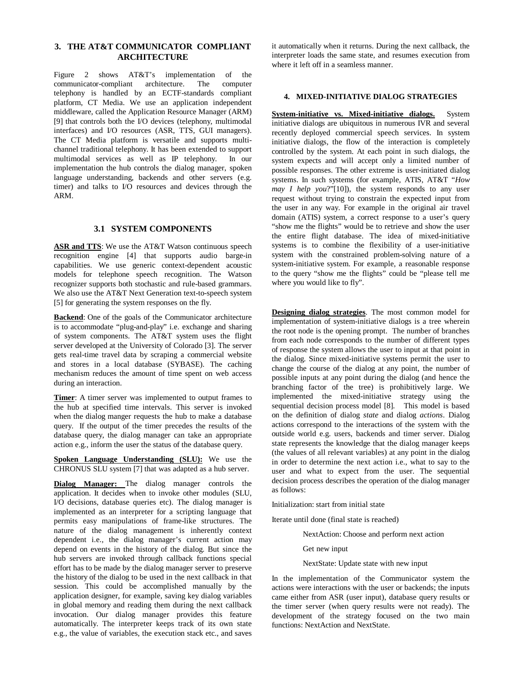## **3. THE AT&T COMMUNICATOR COMPLIANT ARCHITECTURE**

Figure 2 shows AT&T's implementation of the communicator-compliant architecture. The computer telephony is handled by an ECTF-standards compliant platform, CT Media. We use an application independent middleware, called the Application Resource Manager (ARM) [9] that controls both the I/O devices (telephony, multimodal interfaces) and I/O resources (ASR, TTS, GUI managers). The CT Media platform is versatile and supports multichannel traditional telephony. It has been extended to support multimodal services as well as IP telephony. In our implementation the hub controls the dialog manager, spoken language understanding, backends and other servers (e.g. timer) and talks to I/O resources and devices through the ARM.

# **3.1 SYSTEM COMPONENTS**

**ASR and TTS**: We use the AT&T Watson continuous speech recognition engine [4] that supports audio barge-in capabilities. We use generic context-dependent acoustic models for telephone speech recognition. The Watson recognizer supports both stochastic and rule-based grammars. We also use the AT&T Next Generation text-to-speech system [5] for generating the system responses on the fly.

**Backend**: One of the goals of the Communicator architecture is to accommodate "plug-and-play" i.e. exchange and sharing of system components. The AT&T system uses the flight server developed at the University of Colorado [3]. The server gets real-time travel data by scraping a commercial website and stores in a local database (SYBASE). The caching mechanism reduces the amount of time spent on web access during an interaction.

**Timer**: A timer server was implemented to output frames to the hub at specified time intervals. This server is invoked when the dialog manger requests the hub to make a database query. If the output of the timer precedes the results of the database query, the dialog manager can take an appropriate action e.g., inform the user the status of the database query.

**Spoken Language Understanding (SLU):** We use the CHRONUS SLU system [7] that was adapted as a hub server.

**Dialog Manager:** The dialog manager controls the application. It decides when to invoke other modules (SLU, I/O decisions, database queries etc). The dialog manager is implemented as an interpreter for a scripting language that permits easy manipulations of frame-like structures. The nature of the dialog management is inherently context dependent i.e., the dialog manager's current action may depend on events in the history of the dialog. But since the hub servers are invoked through callback functions special effort has to be made by the dialog manager server to preserve the history of the dialog to be used in the next callback in that session. This could be accomplished manually by the application designer, for example, saving key dialog variables in global memory and reading them during the next callback invocation. Our dialog manager provides this feature automatically. The interpreter keeps track of its own state e.g., the value of variables, the execution stack etc., and saves

it automatically when it returns. During the next callback, the interpreter loads the same state, and resumes execution from where it left off in a seamless manner.

## **4. MIXED-INITIATIVE DIALOG STRATEGIES**

**System-initiative vs. Mixed-initiative dialogs.** System initiative dialogs are ubiquitous in numerous IVR and several recently deployed commercial speech services. In system initiative dialogs, the flow of the interaction is completely controlled by the system. At each point in such dialogs, the system expects and will accept only a limited number of possible responses. The other extreme is user-initiated dialog systems. In such systems (for example, ATIS, AT&T "*How may I help you*?"[10]), the system responds to any user request without trying to constrain the expected input from the user in any way. For example in the original air travel domain (ATIS) system, a correct response to a user's query "show me the flights" would be to retrieve and show the user the entire flight database. The idea of mixed-initiative systems is to combine the flexibility of a user-initiative system with the constrained problem-solving nature of a system-initiative system. For example, a reasonable response to the query "show me the flights" could be "please tell me where you would like to fly".

**Designing dialog strategies**. The most common model for implementation of system-initiative dialogs is a tree wherein the root node is the opening prompt. The number of branches from each node corresponds to the number of different types of response the system allows the user to input at that point in the dialog. Since mixed-initiative systems permit the user to change the course of the dialog at any point, the number of possible inputs at any point during the dialog (and hence the branching factor of the tree) is prohibitively large. We implemented the mixed-initiative strategy using the sequential decision process model [8]. This model is based on the definition of dialog *state* and dialog *actions*. Dialog actions correspond to the interactions of the system with the outside world e.g. users, backends and timer server. Dialog state represents the knowledge that the dialog manager keeps (the values of all relevant variables) at any point in the dialog in order to determine the next action i.e., what to say to the user and what to expect from the user. The sequential decision process describes the operation of the dialog manager as follows:

Initialization: start from initial state

Iterate until done (final state is reached)

NextAction: Choose and perform next action

Get new input

NextState: Update state with new input

In the implementation of the Communicator system the actions were interactions with the user or backends; the inputs came either from ASR (user input), database query results or the timer server (when query results were not ready). The development of the strategy focused on the two main functions: NextAction and NextState.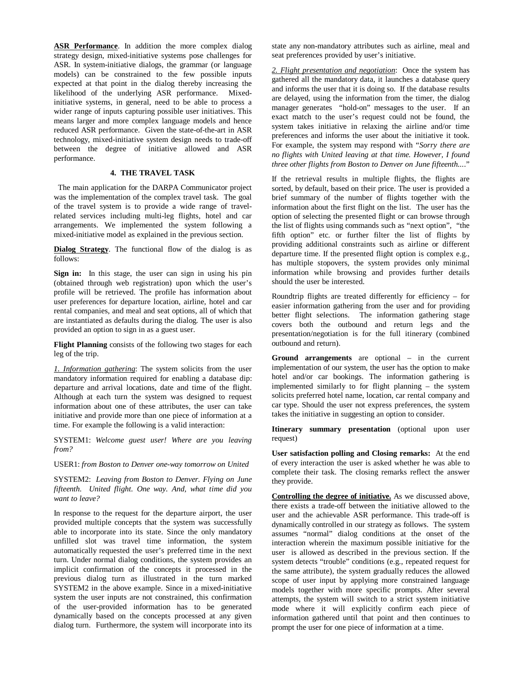**ASR Performance**. In addition the more complex dialog strategy design, mixed-initiative systems pose challenges for ASR. In system-initiative dialogs, the grammar (or language models) can be constrained to the few possible inputs expected at that point in the dialog thereby increasing the likelihood of the underlying ASR performance. Mixedinitiative systems, in general, need to be able to process a wider range of inputs capturing possible user initiatives. This means larger and more complex language models and hence reduced ASR performance. Given the state-of-the-art in ASR technology, mixed-initiative system design needs to trade-off between the degree of initiative allowed and ASR performance.

#### **4. THE TRAVEL TASK**

 The main application for the DARPA Communicator project was the implementation of the complex travel task. The goal of the travel system is to provide a wide range of travelrelated services including multi-leg flights, hotel and car arrangements. We implemented the system following a mixed-initiative model as explained in the previous section.

**Dialog Strategy**. The functional flow of the dialog is as follows:

**Sign in:** In this stage, the user can sign in using his pin (obtained through web registration) upon which the user's profile will be retrieved. The profile has information about user preferences for departure location, airline, hotel and car rental companies, and meal and seat options, all of which that are instantiated as defaults during the dialog. The user is also provided an option to sign in as a guest user.

**Flight Planning** consists of the following two stages for each leg of the trip.

*1. Information gathering*: The system solicits from the user mandatory information required for enabling a database dip: departure and arrival locations, date and time of the flight. Although at each turn the system was designed to request information about one of these attributes, the user can take initiative and provide more than one piece of information at a time. For example the following is a valid interaction:

SYSTEM1: *Welcome guest user! Where are you leaving from?*

USER1: *from Boston to Denver one-way tomorrow on United*

SYSTEM2: *Leaving from Boston to Denver. Flying on June fifteenth. United flight. One way. And, what time did you want to leave?*

In response to the request for the departure airport, the user provided multiple concepts that the system was successfully able to incorporate into its state. Since the only mandatory unfilled slot was travel time information, the system automatically requested the user's preferred time in the next turn. Under normal dialog conditions, the system provides an implicit confirmation of the concepts it processed in the previous dialog turn as illustrated in the turn marked SYSTEM2 in the above example. Since in a mixed-initiative system the user inputs are not constrained, this confirmation of the user-provided information has to be generated dynamically based on the concepts processed at any given dialog turn. Furthermore, the system will incorporate into its

state any non-mandatory attributes such as airline, meal and seat preferences provided by user's initiative.

*2. Flight presentation and negotiation*: Once the system has gathered all the mandatory data, it launches a database query and informs the user that it is doing so. If the database results are delayed, using the information from the timer, the dialog manager generates "hold-on" messages to the user. If an exact match to the user's request could not be found, the system takes initiative in relaxing the airline and/or time preferences and informs the user about the initiative it took. For example, the system may respond with "*Sorry there are no flights with United leaving at that time. However, I found three other flights from Boston to Denver on June fifteenth...*."

If the retrieval results in multiple flights, the flights are sorted, by default, based on their price. The user is provided a brief summary of the number of flights together with the information about the first flight on the list. The user has the option of selecting the presented flight or can browse through the list of flights using commands such as "next option", "the fifth option" etc. or further filter the list of flights by providing additional constraints such as airline or different departure time. If the presented flight option is complex e.g., has multiple stopovers, the system provides only minimal information while browsing and provides further details should the user be interested.

Roundtrip flights are treated differently for efficiency – for easier information gathering from the user and for providing better flight selections. The information gathering stage covers both the outbound and return legs and the presentation/negotiation is for the full itinerary (combined outbound and return).

**Ground arrangements** are optional – in the current implementation of our system, the user has the option to make hotel and/or car bookings. The information gathering is implemented similarly to for flight planning – the system solicits preferred hotel name, location, car rental company and car type. Should the user not express preferences, the system takes the initiative in suggesting an option to consider.

**Itinerary summary presentation** (optional upon user request)

**User satisfaction polling and Closing remarks:** At the end of every interaction the user is asked whether he was able to complete their task. The closing remarks reflect the answer they provide.

**Controlling the degree of initiative.** As we discussed above, there exists a trade-off between the initiative allowed to the user and the achievable ASR performance. This trade-off is dynamically controlled in our strategy as follows. The system assumes "normal" dialog conditions at the onset of the interaction wherein the maximum possible initiative for the user is allowed as described in the previous section. If the system detects "trouble" conditions (e.g., repeated request for the same attribute), the system gradually reduces the allowed scope of user input by applying more constrained language models together with more specific prompts. After several attempts, the system will switch to a strict system initiative mode where it will explicitly confirm each piece of information gathered until that point and then continues to prompt the user for one piece of information at a time.